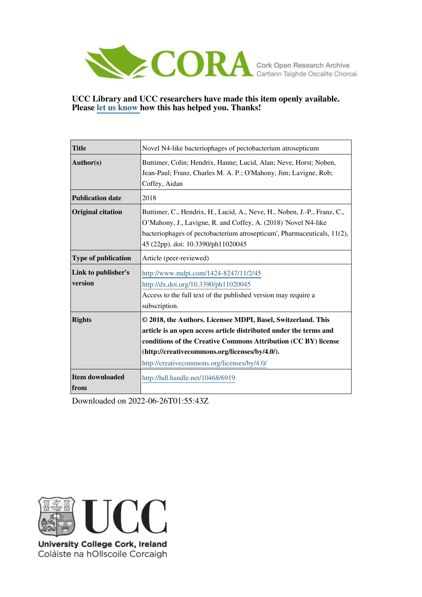

## **UCC Library and UCC researchers have made this item openly available. Please [let us know h](https://libguides.ucc.ie/openaccess/impact?suffix=6919&title=Novel N4-like bacteriophages of pectobacterium atrosepticum)ow this has helped you. Thanks!**

| <b>Title</b>                   | Novel N4-like bacteriophages of pectobacterium atrosepticum                                                                                                                                                                                                                                          |  |  |  |
|--------------------------------|------------------------------------------------------------------------------------------------------------------------------------------------------------------------------------------------------------------------------------------------------------------------------------------------------|--|--|--|
| Author(s)                      | Buttimer, Colin; Hendrix, Hanne; Lucid, Alan; Neve, Horst; Noben,<br>Jean-Paul; Franz, Charles M. A. P.; O'Mahony, Jim; Lavigne, Rob;<br>Coffey, Aidan                                                                                                                                               |  |  |  |
| <b>Publication date</b>        | 2018                                                                                                                                                                                                                                                                                                 |  |  |  |
| <b>Original citation</b>       | Buttimer, C., Hendrix, H., Lucid, A., Neve, H., Noben, J.-P., Franz, C.,<br>O'Mahony, J., Lavigne, R. and Coffey, A. (2018) 'Novel N4-like<br>bacteriophages of pectobacterium atrosepticum', Pharmaceuticals, 11(2),<br>45 (22pp). doi: 10.3390/ph11020045                                          |  |  |  |
| Type of publication            | Article (peer-reviewed)                                                                                                                                                                                                                                                                              |  |  |  |
| Link to publisher's<br>version | http://www.mdpi.com/1424-8247/11/2/45<br>http://dx.doi.org/10.3390/ph11020045<br>Access to the full text of the published version may require a<br>subscription.                                                                                                                                     |  |  |  |
| <b>Rights</b>                  | © 2018, the Authors. Licensee MDPI, Basel, Switzerland. This<br>article is an open access article distributed under the terms and<br>conditions of the Creative Commons Attribution (CC BY) license<br>(http://creativecommons.org/licenses/by/4.0/).<br>http://creativecommons.org/licenses/by/4.0/ |  |  |  |
| Item downloaded<br>from        | http://hdl.handle.net/10468/6919                                                                                                                                                                                                                                                                     |  |  |  |

Downloaded on 2022-06-26T01:55:43Z



University College Cork, Ireland Coláiste na hOllscoile Corcaigh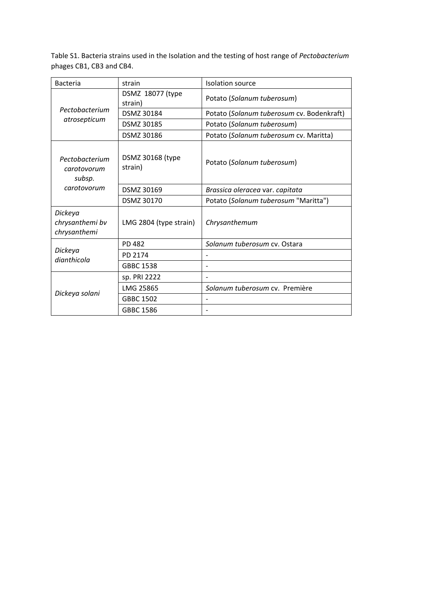Table S1. Bacteria strains used in the Isolation and the testing of host range of *Pectobacterium* phages CB1, CB3 and CB4.

| <b>Bacteria</b>                                        | strain                      | Isolation source                          |  |  |
|--------------------------------------------------------|-----------------------------|-------------------------------------------|--|--|
| Pectobacterium<br>atrosepticum                         | DSMZ 18077 (type<br>strain) | Potato (Solanum tuberosum)                |  |  |
|                                                        | DSMZ 30184                  | Potato (Solanum tuberosum cv. Bodenkraft) |  |  |
|                                                        | DSMZ 30185                  | Potato (Solanum tuberosum)                |  |  |
|                                                        | DSMZ 30186                  | Potato (Solanum tuberosum cv. Maritta)    |  |  |
| Pectobacterium<br>carotovorum<br>subsp.<br>carotovorum | DSMZ 30168 (type<br>strain) | Potato (Solanum tuberosum)                |  |  |
|                                                        | DSMZ 30169                  | Brassica oleracea var. capitata           |  |  |
|                                                        | DSMZ 30170                  | Potato (Solanum tuberosum "Maritta")      |  |  |
| Dickeya<br>chrysanthemi bv<br>chrysanthemi             | LMG 2804 (type strain)      | Chrysanthemum                             |  |  |
| Dickeya<br>dianthicola                                 | <b>PD 482</b>               | Solanum tuberosum cv. Ostara              |  |  |
|                                                        | PD 2174                     |                                           |  |  |
|                                                        | <b>GBBC 1538</b>            |                                           |  |  |
| Dickeya solani                                         | sp. PRI 2222                |                                           |  |  |
|                                                        | LMG 25865                   | Solanum tuberosum cv. Première            |  |  |
|                                                        | <b>GBBC 1502</b>            |                                           |  |  |
|                                                        | GBBC 1586                   |                                           |  |  |